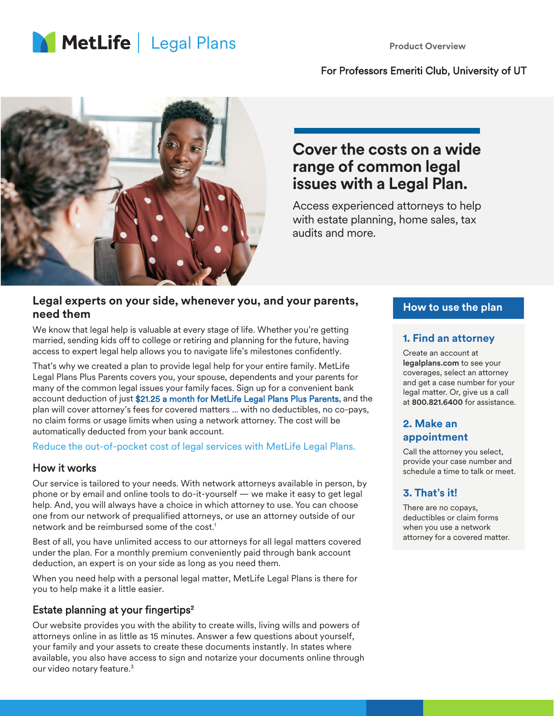

#### For Professors Emeriti Club, University of UT



## **Cover the costs on a wide range of common legal issues with a Legal Plan.**

Access experienced attorneys to help with estate planning, home sales, tax audits and more.

#### **Legal experts on your side, whenever you, and your parents, need them**

We know that legal help is valuable at every stage of life. Whether you're getting married, sending kids off to college or retiring and planning for the future, having access to expert legal help allows you to navigate life's milestones confidently.

That's why we created a plan to provide legal help for your entire family. MetLife Legal Plans Plus Parents covers you, your spouse, dependents and your parents for many of the common legal issues your family faces. Sign up for a convenient bank account deduction of just \$21.25 a month for MetLife Legal Plans Plus Parents, and the plan will cover attorney's fees for covered matters ... with no deductibles, no co-pays, no claim forms or usage limits when using a network attorney. The cost will be automatically deducted from your bank account.

Reduce the out-of-pocket cost of legal services with MetLife Legal Plans.

#### How it works

Our service is tailored to your needs. With network attorneys available in person, by phone or by email and online tools to do-it-yourself — we make it easy to get legal help. And, you will always have a choice in which attorney to use. You can choose one from our network of prequalified attorneys, or use an attorney outside of our network and be reimbursed some of the cost.<sup>1</sup>

Best of all, you have unlimited access to our attorneys for all legal matters covered under the plan. For a monthly premium conveniently paid through bank account deduction, an expert is on your side as long as you need them.

When you need help with a personal legal matter, MetLife Legal Plans is there for you to help make it a little easier.

## Estate planning at your fingertips<sup>2</sup>

Our website provides you with the ability to create wills, living wills and powers of attorneys online in as little as 15 minutes. Answer a few questions about yourself, your family and your assets to create these documents instantly. In states where available, you also have access to sign and notarize your documents online through our video notary feature.<sup>3</sup>

#### **How to use the plan**

#### **1. Find an attorney**

Create an account at legalplans.com to see your coverages, select an attorney and get a case number for your legal matter. Or, give us a call at 800.821.6400 for assistance.

## **2. Make an appointment**

Call the attorney you select, provide your case number and schedule a time to talk or meet.

## **3. That's it!**

There are no copays, deductibles or claim forms when you use a network attorney for a covered matter.